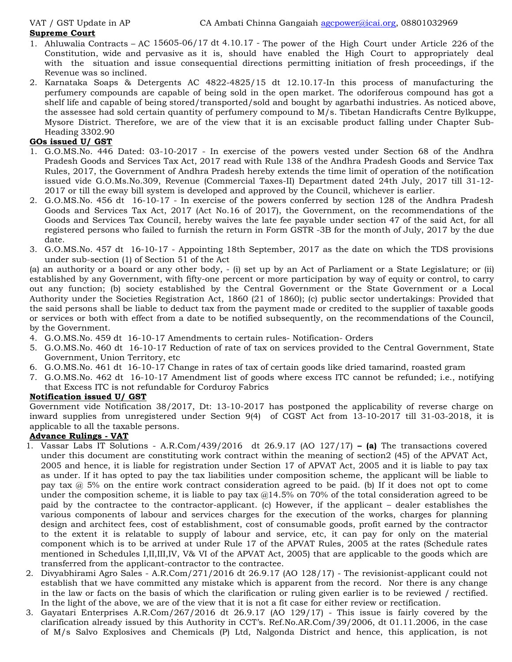#### **Supreme Court**

- 1. Ahluwalia Contracts AC 15605-06/17 dt 4.10.17 The power of the High Court under Article 226 of the Constitution, wide and pervasive as it is, should have enabled the High Court to appropriately deal with the situation and issue consequential directions permitting initiation of fresh proceedings, if the Revenue was so inclined.
- 2. Karnataka Soaps & Detergents AC 4822-4825/15 dt 12.10.17-In this process of manufacturing the perfumery compounds are capable of being sold in the open market. The odoriferous compound has got a shelf life and capable of being stored/transported/sold and bought by agarbathi industries. As noticed above, the assessee had sold certain quantity of perfumery compound to M/s. Tibetan Handicrafts Centre Bylkuppe, Mysore District. Therefore, we are of the view that it is an excisable product falling under Chapter Sub- Heading 3302.90

#### **GOs issued U/ GST**

- 1. G.O.MS.No. 446 Dated: 03-10-2017 In exercise of the powers vested under Section 68 of the Andhra Pradesh Goods and Services Tax Act, 2017 read with Rule 138 of the Andhra Pradesh Goods and Service Tax Rules, 2017, the Government of Andhra Pradesh hereby extends the time limit of operation of the notification issued vide G.O.Ms.No.309, Revenue (Commercial Taxes-II) Department dated 24th July,2017 till 31-12- 2017 or till the eway bill system is developed and approved by the Council, whichever is earlier.<br>2. G.O.MS.No. 456 dt 16-10-17 - In exercise of the powers conferred by section 128 of the Andhra Pradesh
- Goods and Services Tax Act, 2017 (Act No.16 of 2017), the Government, on the recommendations of the Goods and Services Tax Council, hereby waives the late fee payable under section 47 of the said Act, for all registered persons who failed to furnish the return in Form GSTR -3B for the month of July, 2017 by the due date.
- 3. G.O.MS.No. 457 dt 16-10-17 Appointing 18th September, 2017 as the date on which the TDS provisions under sub-section (1) of Section 51 of the Act

(a) an authority or a board or any other body, - (i) set up byan Act of Parliament or a State Legislature; or (ii) established by any Government, with fifty-one percent or more participation by way of equity or control, to carry out any function; (b) society established by the CentralGovernment or the State Government or a Local Authority under the Societies Registration Act, 1860 (21 of 1860); (c) public sector undertakings: Provided that the said persons shall be liable to deduct tax from the payment made or credited to the supplier of taxable goods or services or both with effect from a date to be notified subsequently, on the recommendations of the Council, by the Government.

- 4. G.O.MS.No. 459 dt 16-10-17 Amendments to certain rules- Notification- Orders
- 5. G.O.MS.No. 460 dt 16-10-17 Reduction of rate of tax on services provided to the Central Government, State Government, Union Territory, etc
- 6. G.O.MS.No. 461 dt 16-10-17 Change in rates of tax of certain goods like dried tamarind, roasted gram
- 7. G.O.MS.No. 462 dt 16-10-17 Amendment list of goods where excess ITC cannot be refunded; i.e., notifying that Excess ITC is not refundable for Corduroy Fabrics

#### **Notification issued U/ GST**

Government vide Notification 38/2017, Dt: 13-10-2017 has postponed the applicability of reverse charge on inward supplies from unregistered under Section 9(4) of CGST Act from 13-10-2017 till 31-03-2018, it is applicable to all the taxable persons.

## **Advance Rulings - VAT**

- 1. Vassar Labs IT Solutions A.R.Com/439/2016 dt 26.9.17 (AO 127/17) **– (a)** The transactions covered under this document are constituting work contract within the meaning of section2 (45) of the APVAT Act, 2005 and hence, it is liable for registration under Section 17 of APVAT Act, 2005 and it is liable to pay tax as under. If it has opted to pay the tax liabilities under composition scheme, the applicant will be liable to pay tax  $(a)$  5% on the entire work contract consideration agreed to be paid. (b) If it does not opt to come under the composition scheme, it is liable to pay tax  $@14.5\%$  on 70% of the total consideration agreed to be paid by the contractee to the contractor-applicant. (c) However, if the applicant – dealer establishes the various components of labour and services charges for the execution of the works, charges for planning design and architect fees, cost of establishment, cost of consumable goods, profit earned by the contractor to the extent it is relatable to supply of labour and service, etc, it can pay foronly on the material component which is to be arrived at under Rule 17 of the APVAT Rules, 2005 at the rates (Schedule rates mentioned in Schedules I,II,III,IV, V& VI of the APVAT Act, 2005) that are applicable to the goods which are transferred from the applicant-contractor to the contractee.
- 2. Divyabhirami Agro Sales A.R.Com/271/2016 dt 26.9.17 (AO 128/17) The revisionist-applicant could not establish that we have committed any mistake which is apparent from the record. Nor there is any change in the law or facts on the basis of which the clarification or ruling given earlier is to be reviewed / rectified. In the light of the above, we are of the view that it is not a fit case for either review or rectification.
- 3. Gayatari Enterprises A.R.Com/267/2016 dt 26.9.17 (AO 129/17) This issue is fairly covered by the clarification already issued bythis Authority in CCT's. Ref.No.AR.Com/39/2006, dt 01.11.2006, in the case of M/s Salvo Explosives and Chemicals (P) Ltd, Nalgonda District and hence, this application, is not